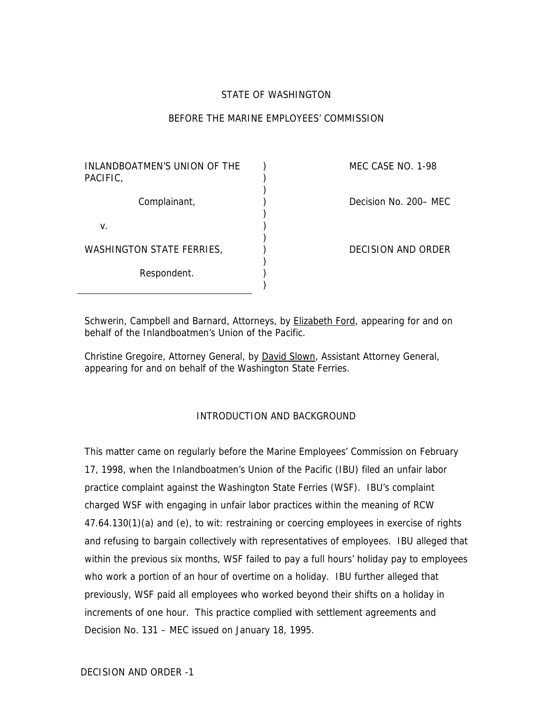## STATE OF WASHINGTON

## BEFORE THE MARINE EMPLOYEES' COMMISSION

) )

)

)

)

)

)

INLANDBOATMEN'S UNION OF THE PACIFIC, Complainant, (a) (b) Decision No. 200– MEC  $v.$  ) WASHINGTON STATE FERRIES,  $\qquad$ ) DECISION AND ORDER Respondent.

MEC CASE NO. 1-98

Schwerin, Campbell and Barnard, Attorneys, by **Elizabeth Ford**, appearing for and on behalf of the Inlandboatmen's Union of the Pacific.

Christine Gregoire, Attorney General, by David Slown, Assistant Attorney General, appearing for and on behalf of the Washington State Ferries.

### INTRODUCTION AND BACKGROUND

This matter came on regularly before the Marine Employees' Commission on February 17, 1998, when the Inlandboatmen's Union of the Pacific (IBU) filed an unfair labor practice complaint against the Washington State Ferries (WSF). IBU's complaint charged WSF with engaging in unfair labor practices within the meaning of RCW 47.64.130(1)(a) and (e), to wit: restraining or coercing employees in exercise of rights and refusing to bargain collectively with representatives of employees. IBU alleged that within the previous six months, WSF failed to pay a full hours' holiday pay to employees who work a portion of an hour of overtime on a holiday. IBU further alleged that previously, WSF paid all employees who worked beyond their shifts on a holiday in increments of one hour. This practice complied with settlement agreements and Decision No. 131 – MEC issued on January 18, 1995.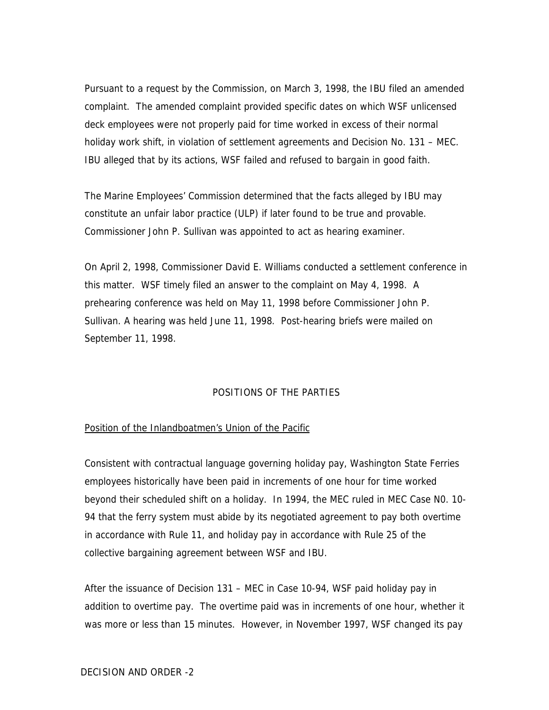Pursuant to a request by the Commission, on March 3, 1998, the IBU filed an amended complaint. The amended complaint provided specific dates on which WSF unlicensed deck employees were not properly paid for time worked in excess of their normal holiday work shift, in violation of settlement agreements and Decision No. 131 – MEC. IBU alleged that by its actions, WSF failed and refused to bargain in good faith.

The Marine Employees' Commission determined that the facts alleged by IBU may constitute an unfair labor practice (ULP) if later found to be true and provable. Commissioner John P. Sullivan was appointed to act as hearing examiner.

On April 2, 1998, Commissioner David E. Williams conducted a settlement conference in this matter. WSF timely filed an answer to the complaint on May 4, 1998. A prehearing conference was held on May 11, 1998 before Commissioner John P. Sullivan. A hearing was held June 11, 1998. Post-hearing briefs were mailed on September 11, 1998.

### POSITIONS OF THE PARTIES

### Position of the Inlandboatmen's Union of the Pacific

Consistent with contractual language governing holiday pay, Washington State Ferries employees historically have been paid in increments of one hour for time worked beyond their scheduled shift on a holiday. In 1994, the MEC ruled in MEC Case N0. 10- 94 that the ferry system must abide by its negotiated agreement to pay both overtime in accordance with Rule 11, and holiday pay in accordance with Rule 25 of the collective bargaining agreement between WSF and IBU.

After the issuance of Decision 131 – MEC in Case 10-94, WSF paid holiday pay in addition to overtime pay. The overtime paid was in increments of one hour, whether it was more or less than 15 minutes. However, in November 1997, WSF changed its pay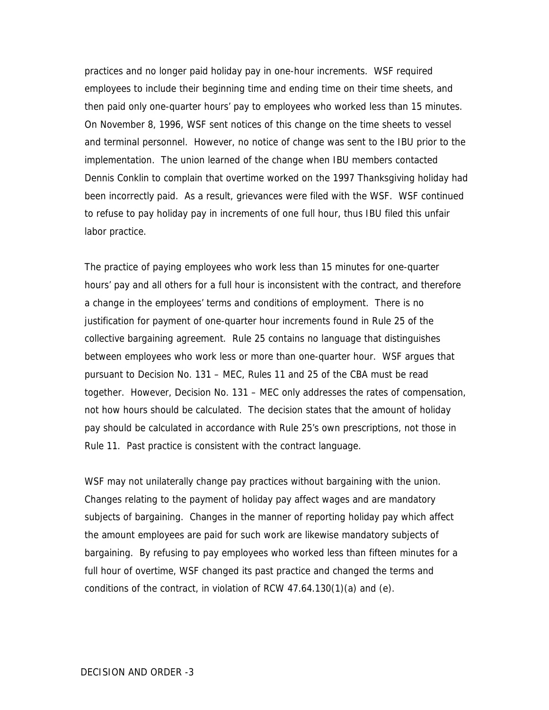practices and no longer paid holiday pay in one-hour increments. WSF required employees to include their beginning time and ending time on their time sheets, and then paid only one-quarter hours' pay to employees who worked less than 15 minutes. On November 8, 1996, WSF sent notices of this change on the time sheets to vessel and terminal personnel. However, no notice of change was sent to the IBU prior to the implementation. The union learned of the change when IBU members contacted Dennis Conklin to complain that overtime worked on the 1997 Thanksgiving holiday had been incorrectly paid. As a result, grievances were filed with the WSF. WSF continued to refuse to pay holiday pay in increments of one full hour, thus IBU filed this unfair labor practice.

The practice of paying employees who work less than 15 minutes for one-quarter hours' pay and all others for a full hour is inconsistent with the contract, and therefore a change in the employees' terms and conditions of employment. There is no justification for payment of one-quarter hour increments found in Rule 25 of the collective bargaining agreement. Rule 25 contains no language that distinguishes between employees who work less or more than one-quarter hour. WSF argues that pursuant to Decision No. 131 – MEC, Rules 11 and 25 of the CBA must be read together. However, Decision No. 131 – MEC only addresses the rates of compensation, not how hours should be calculated. The decision states that the amount of holiday pay should be calculated in accordance with Rule 25's own prescriptions, not those in Rule 11. Past practice is consistent with the contract language.

WSF may not unilaterally change pay practices without bargaining with the union. Changes relating to the payment of holiday pay affect wages and are mandatory subjects of bargaining. Changes in the manner of reporting holiday pay which affect the amount employees are paid for such work are likewise mandatory subjects of bargaining. By refusing to pay employees who worked less than fifteen minutes for a full hour of overtime, WSF changed its past practice and changed the terms and conditions of the contract, in violation of RCW 47.64.130(1)(a) and (e).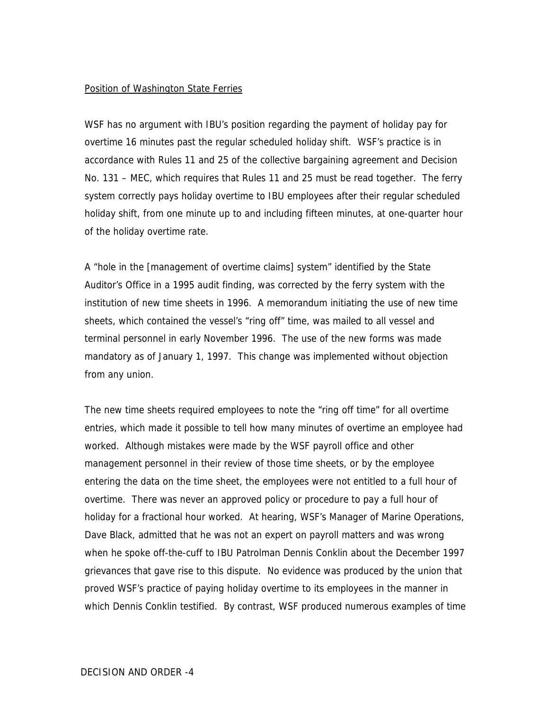#### Position of Washington State Ferries

WSF has no argument with IBU's position regarding the payment of holiday pay for overtime 16 minutes past the regular scheduled holiday shift. WSF's practice is in accordance with Rules 11 and 25 of the collective bargaining agreement and Decision No. 131 – MEC, which requires that Rules 11 and 25 must be read together. The ferry system correctly pays holiday overtime to IBU employees after their regular scheduled holiday shift, from one minute up to and including fifteen minutes, at one-quarter hour of the holiday overtime rate.

A "hole in the [management of overtime claims] system" identified by the State Auditor's Office in a 1995 audit finding, was corrected by the ferry system with the institution of new time sheets in 1996. A memorandum initiating the use of new time sheets, which contained the vessel's "ring off" time, was mailed to all vessel and terminal personnel in early November 1996. The use of the new forms was made mandatory as of January 1, 1997. This change was implemented without objection from any union.

The new time sheets required employees to note the "ring off time" for all overtime entries, which made it possible to tell how many minutes of overtime an employee had worked. Although mistakes were made by the WSF payroll office and other management personnel in their review of those time sheets, or by the employee entering the data on the time sheet, the employees were not entitled to a full hour of overtime. There was never an approved policy or procedure to pay a full hour of holiday for a fractional hour worked. At hearing, WSF's Manager of Marine Operations, Dave Black, admitted that he was not an expert on payroll matters and was wrong when he spoke off-the-cuff to IBU Patrolman Dennis Conklin about the December 1997 grievances that gave rise to this dispute. No evidence was produced by the union that proved WSF's practice of paying holiday overtime to its employees in the manner in which Dennis Conklin testified. By contrast, WSF produced numerous examples of time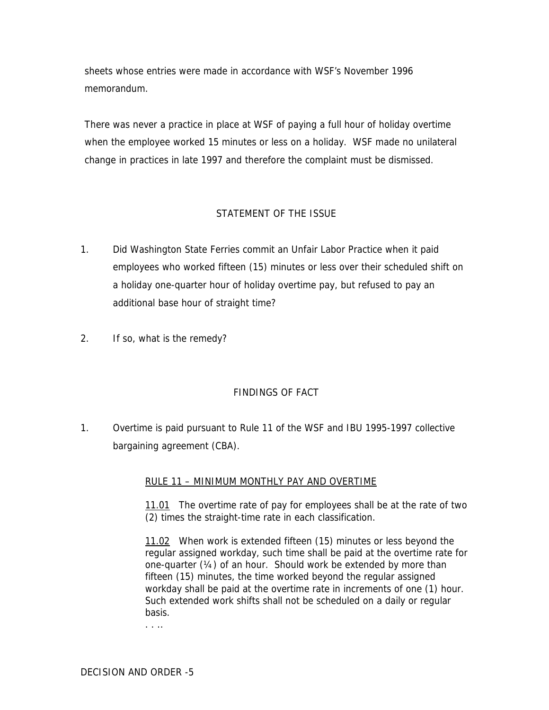sheets whose entries were made in accordance with WSF's November 1996 memorandum.

There was never a practice in place at WSF of paying a full hour of holiday overtime when the employee worked 15 minutes or less on a holiday. WSF made no unilateral change in practices in late 1997 and therefore the complaint must be dismissed.

# STATEMENT OF THE ISSUE

- 1. Did Washington State Ferries commit an Unfair Labor Practice when it paid employees who worked fifteen (15) minutes or less over their scheduled shift on a holiday one-quarter hour of holiday overtime pay, but refused to pay an additional base hour of straight time?
- 2. If so, what is the remedy?

## FINDINGS OF FACT

1. Overtime is paid pursuant to Rule 11 of the WSF and IBU 1995-1997 collective bargaining agreement (CBA).

## RULE 11 – MINIMUM MONTHLY PAY AND OVERTIME

11.01 The overtime rate of pay for employees shall be at the rate of two (2) times the straight-time rate in each classification.

11.02 When work is extended fifteen (15) minutes or less beyond the regular assigned workday, such time shall be paid at the overtime rate for one-quarter (¼) of an hour. Should work be extended by more than fifteen (15) minutes, the time worked beyond the regular assigned workday shall be paid at the overtime rate in increments of one (1) hour. Such extended work shifts shall not be scheduled on a daily or regular basis.

. . ..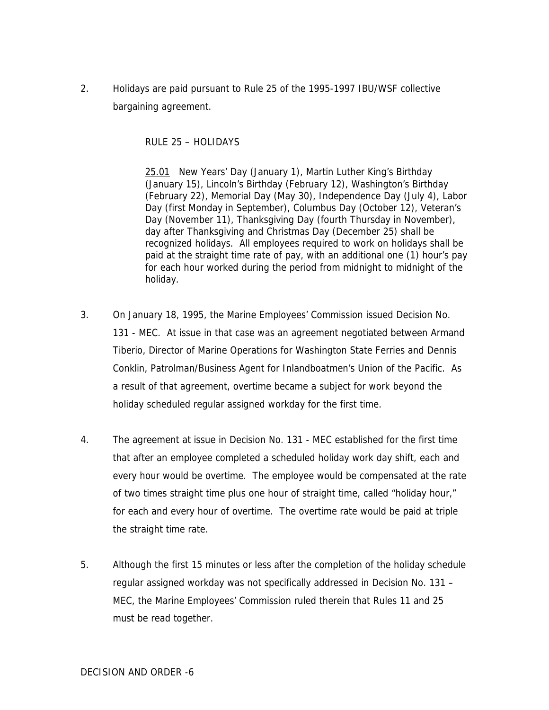2. Holidays are paid pursuant to Rule 25 of the 1995-1997 IBU/WSF collective bargaining agreement.

## RULE 25 – HOLIDAYS

25.01 New Years' Day (January 1), Martin Luther King's Birthday (January 15), Lincoln's Birthday (February 12), Washington's Birthday (February 22), Memorial Day (May 30), Independence Day (July 4), Labor Day (first Monday in September), Columbus Day (October 12), Veteran's Day (November 11), Thanksgiving Day (fourth Thursday in November), day after Thanksgiving and Christmas Day (December 25) shall be recognized holidays. All employees required to work on holidays shall be paid at the straight time rate of pay, with an additional one (1) hour's pay for each hour worked during the period from midnight to midnight of the holiday.

- 3. On January 18, 1995, the Marine Employees' Commission issued Decision No. 131 - MEC. At issue in that case was an agreement negotiated between Armand Tiberio, Director of Marine Operations for Washington State Ferries and Dennis Conklin, Patrolman/Business Agent for Inlandboatmen's Union of the Pacific. As a result of that agreement, overtime became a subject for work beyond the holiday scheduled regular assigned workday for the first time.
- 4. The agreement at issue in Decision No. 131 MEC established for the first time that after an employee completed a scheduled holiday work day shift, each and every hour would be overtime. The employee would be compensated at the rate of two times straight time plus one hour of straight time, called "holiday hour," for each and every hour of overtime. The overtime rate would be paid at triple the straight time rate.
- 5. Although the first 15 minutes or less after the completion of the holiday schedule regular assigned workday was not specifically addressed in Decision No. 131 – MEC, the Marine Employees' Commission ruled therein that Rules 11 and 25 must be read together.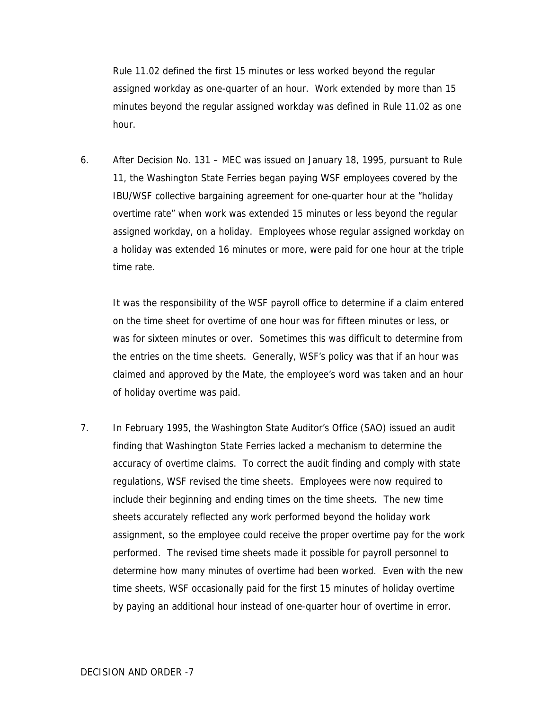Rule 11.02 defined the first 15 minutes or less worked beyond the regular assigned workday as one-quarter of an hour. Work extended by more than 15 minutes beyond the regular assigned workday was defined in Rule 11.02 as one hour.

6. After Decision No. 131 – MEC was issued on January 18, 1995, pursuant to Rule 11, the Washington State Ferries began paying WSF employees covered by the IBU/WSF collective bargaining agreement for one-quarter hour at the "holiday overtime rate" when work was extended 15 minutes or less beyond the regular assigned workday, on a holiday. Employees whose regular assigned workday on a holiday was extended 16 minutes or more, were paid for one hour at the triple time rate.

It was the responsibility of the WSF payroll office to determine if a claim entered on the time sheet for overtime of one hour was for fifteen minutes or less, or was for sixteen minutes or over. Sometimes this was difficult to determine from the entries on the time sheets. Generally, WSF's policy was that if an hour was claimed and approved by the Mate, the employee's word was taken and an hour of holiday overtime was paid.

7. In February 1995, the Washington State Auditor's Office (SAO) issued an audit finding that Washington State Ferries lacked a mechanism to determine the accuracy of overtime claims. To correct the audit finding and comply with state regulations, WSF revised the time sheets. Employees were now required to include their beginning and ending times on the time sheets. The new time sheets accurately reflected any work performed beyond the holiday work assignment, so the employee could receive the proper overtime pay for the work performed. The revised time sheets made it possible for payroll personnel to determine how many minutes of overtime had been worked. Even with the new time sheets, WSF occasionally paid for the first 15 minutes of holiday overtime by paying an additional hour instead of one-quarter hour of overtime in error.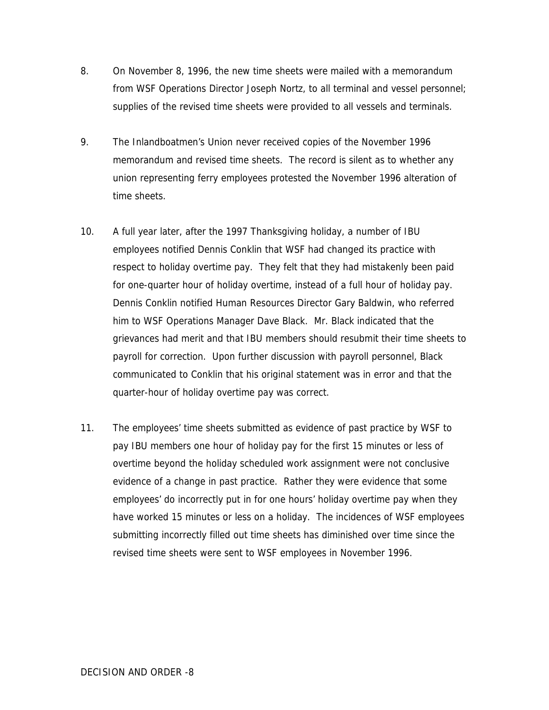- 8. On November 8, 1996, the new time sheets were mailed with a memorandum from WSF Operations Director Joseph Nortz, to all terminal and vessel personnel; supplies of the revised time sheets were provided to all vessels and terminals.
- 9. The Inlandboatmen's Union never received copies of the November 1996 memorandum and revised time sheets. The record is silent as to whether any union representing ferry employees protested the November 1996 alteration of time sheets.
- 10. A full year later, after the 1997 Thanksgiving holiday, a number of IBU employees notified Dennis Conklin that WSF had changed its practice with respect to holiday overtime pay. They felt that they had mistakenly been paid for one-quarter hour of holiday overtime, instead of a full hour of holiday pay. Dennis Conklin notified Human Resources Director Gary Baldwin, who referred him to WSF Operations Manager Dave Black. Mr. Black indicated that the grievances had merit and that IBU members should resubmit their time sheets to payroll for correction. Upon further discussion with payroll personnel, Black communicated to Conklin that his original statement was in error and that the quarter-hour of holiday overtime pay was correct.
- 11. The employees' time sheets submitted as evidence of past practice by WSF to pay IBU members one hour of holiday pay for the first 15 minutes or less of overtime beyond the holiday scheduled work assignment were not conclusive evidence of a change in past practice. Rather they were evidence that some employees' do incorrectly put in for one hours' holiday overtime pay when they have worked 15 minutes or less on a holiday. The incidences of WSF employees submitting incorrectly filled out time sheets has diminished over time since the revised time sheets were sent to WSF employees in November 1996.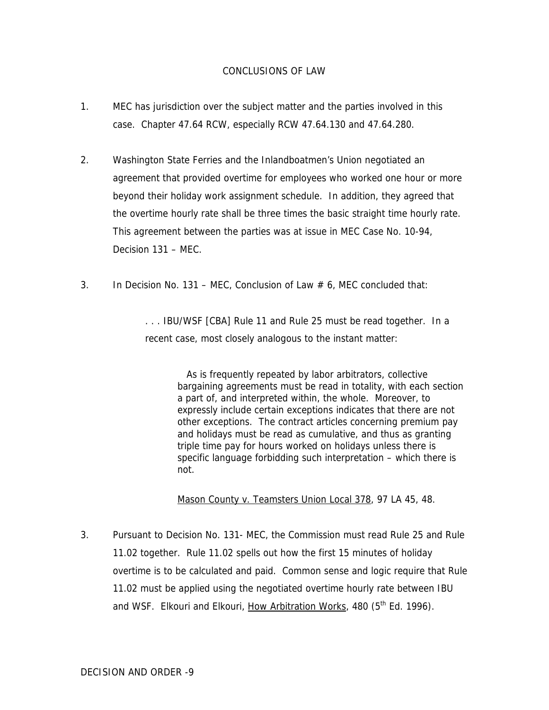## CONCLUSIONS OF LAW

- 1. MEC has jurisdiction over the subject matter and the parties involved in this case. Chapter 47.64 RCW, especially RCW 47.64.130 and 47.64.280.
- 2. Washington State Ferries and the Inlandboatmen's Union negotiated an agreement that provided overtime for employees who worked one hour or more beyond their holiday work assignment schedule. In addition, they agreed that the overtime hourly rate shall be three times the basic straight time hourly rate. This agreement between the parties was at issue in MEC Case No. 10-94, Decision 131 – MEC.
- 3. In Decision No. 131 MEC, Conclusion of Law  $\#$  6, MEC concluded that:

. . . IBU/WSF [CBA] Rule 11 and Rule 25 must be read together. In a recent case, most closely analogous to the instant matter:

> As is frequently repeated by labor arbitrators, collective bargaining agreements must be read in totality, with each section a part of, and interpreted within, the whole. Moreover, to expressly include certain exceptions indicates that there are not other exceptions. The contract articles concerning premium pay and holidays must be read as cumulative, and thus as granting triple time pay for hours worked on holidays unless there is specific language forbidding such interpretation – which there is not.

Mason County v. Teamsters Union Local 378, 97 LA 45, 48.

3. Pursuant to Decision No. 131- MEC, the Commission must read Rule 25 and Rule 11.02 together. Rule 11.02 spells out how the first 15 minutes of holiday overtime is to be calculated and paid. Common sense and logic require that Rule 11.02 must be applied using the negotiated overtime hourly rate between IBU and WSF. Elkouri and Elkouri, How Arbitration Works, 480 (5<sup>th</sup> Ed. 1996).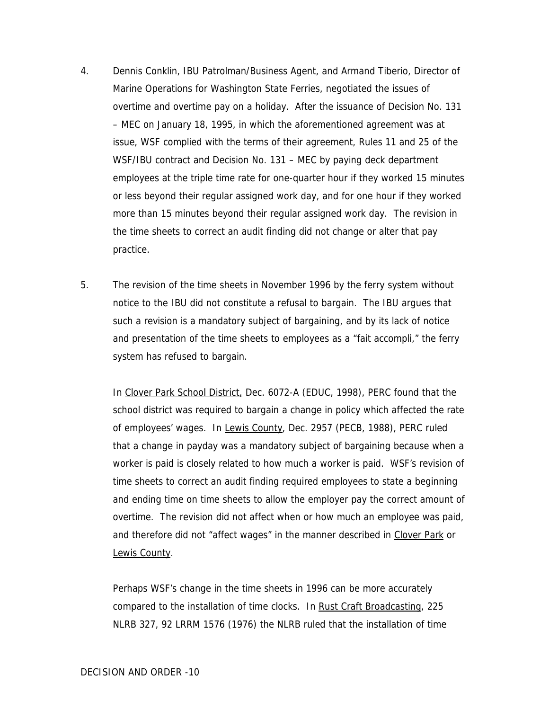- 4. Dennis Conklin, IBU Patrolman/Business Agent, and Armand Tiberio, Director of Marine Operations for Washington State Ferries, negotiated the issues of overtime and overtime pay on a holiday. After the issuance of Decision No. 131 – MEC on January 18, 1995, in which the aforementioned agreement was at issue, WSF complied with the terms of their agreement, Rules 11 and 25 of the WSF/IBU contract and Decision No. 131 – MEC by paying deck department employees at the triple time rate for one-quarter hour if they worked 15 minutes or less beyond their regular assigned work day, and for one hour if they worked more than 15 minutes beyond their regular assigned work day. The revision in the time sheets to correct an audit finding did not change or alter that pay practice.
- 5. The revision of the time sheets in November 1996 by the ferry system without notice to the IBU did not constitute a refusal to bargain. The IBU argues that such a revision is a mandatory subject of bargaining, and by its lack of notice and presentation of the time sheets to employees as a "fait accompli," the ferry system has refused to bargain.

In Clover Park School District, Dec. 6072-A (EDUC, 1998), PERC found that the school district was required to bargain a change in policy which affected the rate of employees' wages. In Lewis County, Dec. 2957 (PECB, 1988), PERC ruled that a change in payday was a mandatory subject of bargaining because when a worker is paid is closely related to how much a worker is paid. WSF's revision of time sheets to correct an audit finding required employees to state a beginning and ending time on time sheets to allow the employer pay the correct amount of overtime. The revision did not affect when or how much an employee was paid, and therefore did not "affect wages" in the manner described in Clover Park or Lewis County.

Perhaps WSF's change in the time sheets in 1996 can be more accurately compared to the installation of time clocks. In Rust Craft Broadcasting, 225 NLRB 327, 92 LRRM 1576 (1976) the NLRB ruled that the installation of time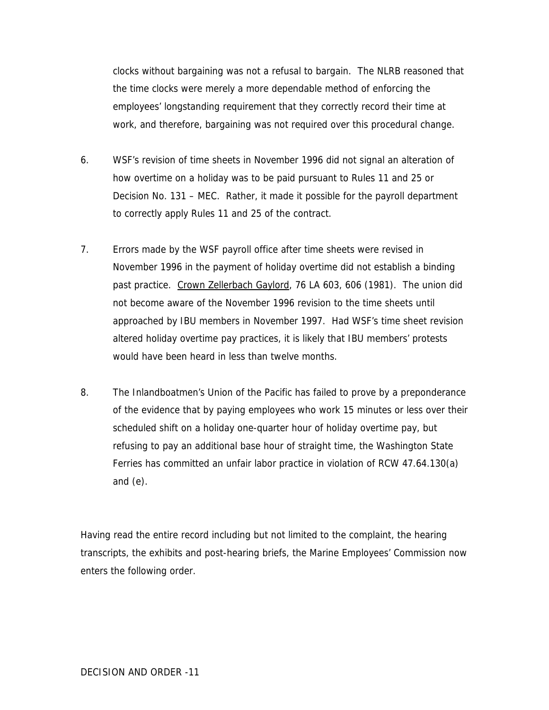clocks without bargaining was not a refusal to bargain. The NLRB reasoned that the time clocks were merely a more dependable method of enforcing the employees' longstanding requirement that they correctly record their time at work, and therefore, bargaining was not required over this procedural change.

- 6. WSF's revision of time sheets in November 1996 did not signal an alteration of how overtime on a holiday was to be paid pursuant to Rules 11 and 25 or Decision No. 131 – MEC. Rather, it made it possible for the payroll department to correctly apply Rules 11 and 25 of the contract.
- 7. Errors made by the WSF payroll office after time sheets were revised in November 1996 in the payment of holiday overtime did not establish a binding past practice. Crown Zellerbach Gaylord, 76 LA 603, 606 (1981). The union did not become aware of the November 1996 revision to the time sheets until approached by IBU members in November 1997. Had WSF's time sheet revision altered holiday overtime pay practices, it is likely that IBU members' protests would have been heard in less than twelve months.
- 8. The Inlandboatmen's Union of the Pacific has failed to prove by a preponderance of the evidence that by paying employees who work 15 minutes or less over their scheduled shift on a holiday one-quarter hour of holiday overtime pay, but refusing to pay an additional base hour of straight time, the Washington State Ferries has committed an unfair labor practice in violation of RCW 47.64.130(a) and (e).

Having read the entire record including but not limited to the complaint, the hearing transcripts, the exhibits and post-hearing briefs, the Marine Employees' Commission now enters the following order.